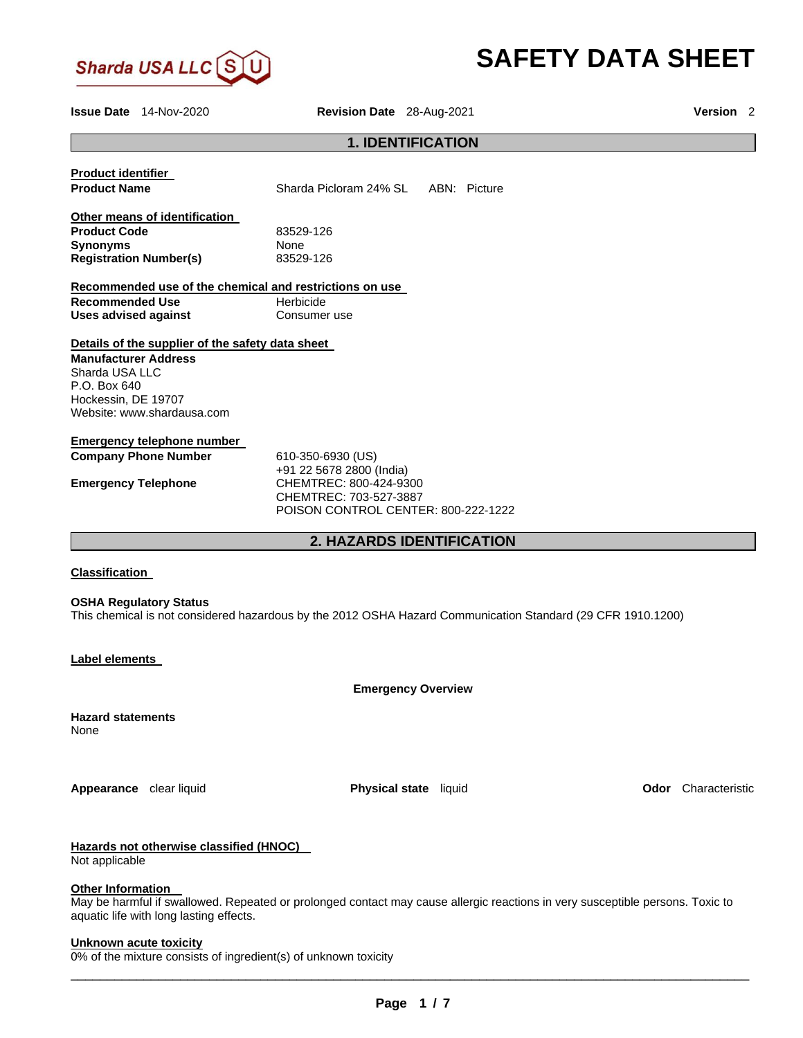

# **SAFETY DATA SHEET**

**Issue Date** 14-Nov-2020 **Revision Date** 28-Aug-2021 **Version** 2 **1. IDENTIFICATION Product identifier Product Name Sharda Picloram 24% SL ABN: Picture Other means of identification Product Code 23529-126 Synonyms** None **Registration Number(s)** 83529-126 **Recommended use of the chemical and restrictions on use Recommended Use <b>Herbicide Uses advised against <b>Consumer** use **Details of the supplier of the safety data sheet Manufacturer Address** Sharda USA LLC P.O. Box 640 Hockessin, DE 19707 Website: www.shardausa.com **Emergency telephone number Company Phone Number** 610-350-6930 (US) +91 22 5678 2800 (India) **Emergency Telephone** CHEMTREC: 800-424-9300 CHEMTREC: 703-527-3887 POISON CONTROL CENTER: 800-222-1222 **2. HAZARDS IDENTIFICATION Classification** 

**OSHA Regulatory Status**

This chemical is not considered hazardous by the 2012 OSHA Hazard Communication Standard (29 CFR 1910.1200)

**Label elements** 

**Emergency Overview** 

**Hazard statements** None

**Appearance** clear liquid **Physical state** liquid **Odor** Characteristic

# **Hazards not otherwise classified (HNOC)**

Not applicable

#### **Other Information**

May be harmful if swallowed. Repeated or prolonged contact may cause allergic reactions in very susceptible persons. Toxic to aquatic life with long lasting effects.

#### **Unknown acute toxicity**

0% of the mixture consists of ingredient(s) of unknown toxicity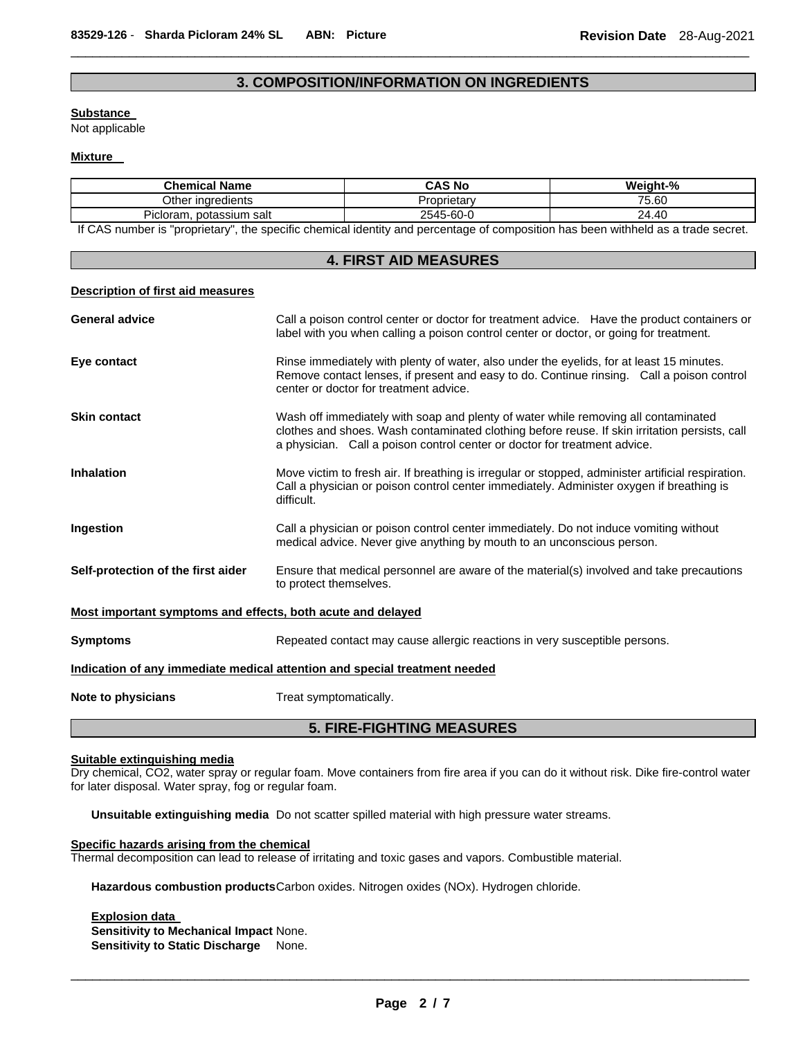# **3. COMPOSITION/INFORMATION ON INGREDIENTS**

 $\Box$ 

#### **Substance**

Not applicable

## **Mixture**

| <b>Chemical Name</b>        | CAS No      | Weight-% |
|-----------------------------|-------------|----------|
| Other ingredients           | Proprietarv | 75.60    |
| Picloram.<br>potassium salt | 2545-60-0   | 24.40    |

If CAS number is "proprietary", the specific chemical identity and percentage of composition has been withheld as a trade secret.

| <b>4. FIRST AID MEASURES</b>                                               |                                                                                                                                                                                                                                                                  |  |
|----------------------------------------------------------------------------|------------------------------------------------------------------------------------------------------------------------------------------------------------------------------------------------------------------------------------------------------------------|--|
| <b>Description of first aid measures</b>                                   |                                                                                                                                                                                                                                                                  |  |
| <b>General advice</b>                                                      | Call a poison control center or doctor for treatment advice. Have the product containers or<br>label with you when calling a poison control center or doctor, or going for treatment.                                                                            |  |
| Eye contact                                                                | Rinse immediately with plenty of water, also under the eyelids, for at least 15 minutes.<br>Remove contact lenses, if present and easy to do. Continue rinsing. Call a poison control<br>center or doctor for treatment advice.                                  |  |
| <b>Skin contact</b>                                                        | Wash off immediately with soap and plenty of water while removing all contaminated<br>clothes and shoes. Wash contaminated clothing before reuse. If skin irritation persists, call<br>a physician. Call a poison control center or doctor for treatment advice. |  |
| <b>Inhalation</b>                                                          | Move victim to fresh air. If breathing is irregular or stopped, administer artificial respiration.<br>Call a physician or poison control center immediately. Administer oxygen if breathing is<br>difficult.                                                     |  |
| Ingestion                                                                  | Call a physician or poison control center immediately. Do not induce vomiting without<br>medical advice. Never give anything by mouth to an unconscious person.                                                                                                  |  |
| Self-protection of the first aider                                         | Ensure that medical personnel are aware of the material(s) involved and take precautions<br>to protect themselves.                                                                                                                                               |  |
| Most important symptoms and effects, both acute and delayed                |                                                                                                                                                                                                                                                                  |  |
| <b>Symptoms</b>                                                            | Repeated contact may cause allergic reactions in very susceptible persons.                                                                                                                                                                                       |  |
| Indication of any immediate medical attention and special treatment needed |                                                                                                                                                                                                                                                                  |  |
| Note to physicians                                                         | Treat symptomatically.                                                                                                                                                                                                                                           |  |
| <b>5. FIRE-FIGHTING MEASURES</b>                                           |                                                                                                                                                                                                                                                                  |  |

#### **Suitable extinguishing media**

Dry chemical, CO2, water spray or regular foam. Move containers from fire area if you can do it without risk. Dike fire-control water for later disposal. Water spray, fog or regular foam.

**Unsuitable extinguishing media** Do not scatter spilled material with high pressure water streams.

## **Specific hazards arising from the chemical**

Thermal decomposition can lead to release of irritating and toxic gases and vapors. Combustible material.

**Hazardous combustion products** Carbon oxides. Nitrogen oxides (NOx). Hydrogen chloride.

**Explosion data Sensitivity to Mechanical Impact** None. **Sensitivity to Static Discharge** None.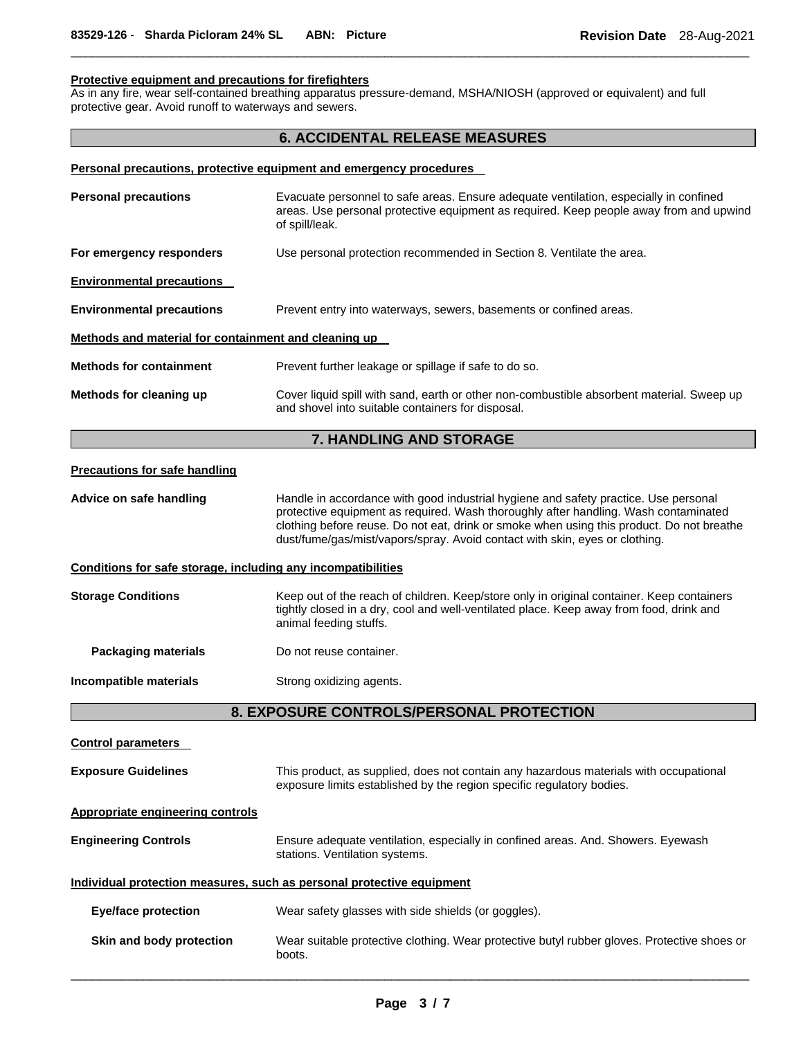# **Protective equipment and precautions for firefighters**

As in any fire, wear self-contained breathing apparatus pressure-demand, MSHA/NIOSH (approved or equivalent) and full protective gear. Avoid runoff to waterways and sewers.

# **6. ACCIDENTAL RELEASE MEASURES**

 $\Box$ 

|                                                              | Personal precautions, protective equipment and emergency procedures                                                                                                                                                                                                                                                                                    |
|--------------------------------------------------------------|--------------------------------------------------------------------------------------------------------------------------------------------------------------------------------------------------------------------------------------------------------------------------------------------------------------------------------------------------------|
| <b>Personal precautions</b>                                  | Evacuate personnel to safe areas. Ensure adequate ventilation, especially in confined<br>areas. Use personal protective equipment as required. Keep people away from and upwind<br>of spill/leak.                                                                                                                                                      |
| For emergency responders                                     | Use personal protection recommended in Section 8. Ventilate the area.                                                                                                                                                                                                                                                                                  |
| <b>Environmental precautions</b>                             |                                                                                                                                                                                                                                                                                                                                                        |
| <b>Environmental precautions</b>                             | Prevent entry into waterways, sewers, basements or confined areas.                                                                                                                                                                                                                                                                                     |
| Methods and material for containment and cleaning up         |                                                                                                                                                                                                                                                                                                                                                        |
| <b>Methods for containment</b>                               | Prevent further leakage or spillage if safe to do so.                                                                                                                                                                                                                                                                                                  |
| Methods for cleaning up                                      | Cover liquid spill with sand, earth or other non-combustible absorbent material. Sweep up<br>and shovel into suitable containers for disposal.                                                                                                                                                                                                         |
|                                                              | 7. HANDLING AND STORAGE                                                                                                                                                                                                                                                                                                                                |
| <b>Precautions for safe handling</b>                         |                                                                                                                                                                                                                                                                                                                                                        |
| Advice on safe handling                                      | Handle in accordance with good industrial hygiene and safety practice. Use personal<br>protective equipment as required. Wash thoroughly after handling. Wash contaminated<br>clothing before reuse. Do not eat, drink or smoke when using this product. Do not breathe<br>dust/fume/gas/mist/vapors/spray. Avoid contact with skin, eyes or clothing. |
| Conditions for safe storage, including any incompatibilities |                                                                                                                                                                                                                                                                                                                                                        |
| <b>Storage Conditions</b>                                    | Keep out of the reach of children. Keep/store only in original container. Keep containers<br>tightly closed in a dry, cool and well-ventilated place. Keep away from food, drink and<br>animal feeding stuffs.                                                                                                                                         |
| <b>Packaging materials</b>                                   | Do not reuse container.                                                                                                                                                                                                                                                                                                                                |
| Incompatible materials                                       | Strong oxidizing agents.                                                                                                                                                                                                                                                                                                                               |
|                                                              | 8. EXPOSURE CONTROLS/PERSONAL PROTECTION                                                                                                                                                                                                                                                                                                               |
| <b>Control parameters</b>                                    |                                                                                                                                                                                                                                                                                                                                                        |
| <b>Exposure Guidelines</b>                                   | This product, as supplied, does not contain any hazardous materials with occupational<br>exposure limits established by the region specific regulatory bodies.                                                                                                                                                                                         |
| <b>Appropriate engineering controls</b>                      |                                                                                                                                                                                                                                                                                                                                                        |
| <b>Engineering Controls</b>                                  | Ensure adequate ventilation, especially in confined areas. And. Showers. Eyewash<br>stations. Ventilation systems.                                                                                                                                                                                                                                     |

**Individual protection measures, such as personal protective equipment**

- **Eye/face protection** Wear safety glasses with side shields (or goggles).
- **Skin and body protection** Wear suitable protective clothing. Wear protective butyl rubber gloves. Protective shoes or boots.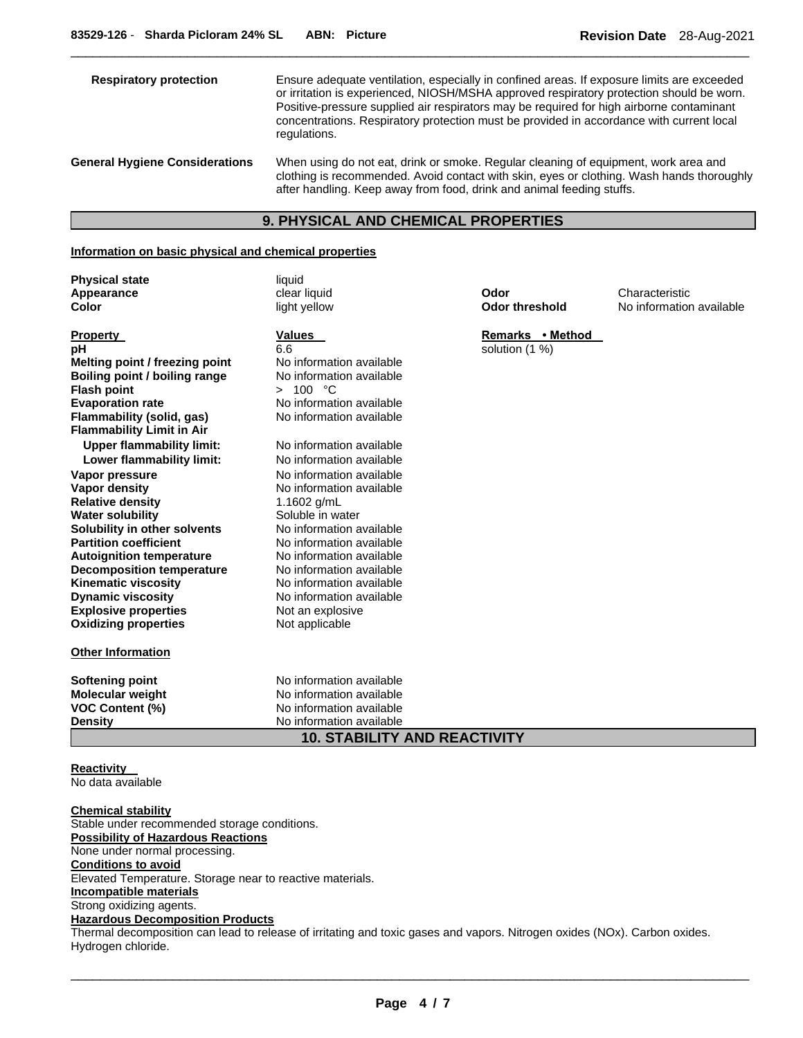| <b>Respiratory protection</b>         | Ensure adequate ventilation, especially in confined areas. If exposure limits are exceeded<br>or irritation is experienced, NIOSH/MSHA approved respiratory protection should be worn.<br>Positive-pressure supplied air respirators may be required for high airborne contaminant<br>concentrations. Respiratory protection must be provided in accordance with current local<br>regulations. |
|---------------------------------------|------------------------------------------------------------------------------------------------------------------------------------------------------------------------------------------------------------------------------------------------------------------------------------------------------------------------------------------------------------------------------------------------|
| <b>General Hygiene Considerations</b> | When using do not eat, drink or smoke. Regular cleaning of equipment, work area and<br>clothing is recommended. Avoid contact with skin, eyes or clothing. Wash hands thoroughly<br>after handling. Keep away from food, drink and animal feeding stuffs.                                                                                                                                      |

 $\Box$ 

# **9. PHYSICAL AND CHEMICAL PROPERTIES**

#### **Information on basic physical and chemical properties**

**Physical state liquid Appearance** clear liquid **Odor** Characteristic

| <b>Property</b>                      | Values                   |
|--------------------------------------|--------------------------|
| рH                                   | 6.6                      |
| Melting point / freezing point       | No information available |
| <b>Boiling point / boiling range</b> | No information available |
| <b>Flash point</b>                   | > 100 °C                 |
| <b>Evaporation rate</b>              | No information available |
| Flammability (solid, gas)            | No information available |
| <b>Flammability Limit in Air</b>     |                          |
| <b>Upper flammability limit:</b>     | No information available |
| Lower flammability limit:            | No information available |
| Vapor pressure                       | No information available |
| <b>Vapor density</b>                 | No information available |
| <b>Relative density</b>              | 1.1602 g/mL              |
| <b>Water solubility</b>              | Soluble in water         |
| Solubility in other solvents         | No information available |
| <b>Partition coefficient</b>         | No information available |
| <b>Autoignition temperature</b>      | No information available |
| <b>Decomposition temperature</b>     | No information available |
| <b>Kinematic viscosity</b>           | No information available |
| <b>Dynamic viscosity</b>             | No information available |
| <b>Explosive properties</b>          | Not an explosive         |
| <b>Oxidizing properties</b>          | Not applicable           |
| <b>Other Information</b>             |                          |
|                                      |                          |
| <b>Softening point</b>               | No information available |
| Molecular weight                     | No information available |
| <b>VOC Content (%)</b>               | No information available |
| <b>Density</b>                       | No information available |

**10. STABILITY AND REACTIVITY** 

**Reactivity**  No data available

**Chemical stability** Stable under recommended storage conditions. **Possibility of Hazardous Reactions** None under normal processing. **Conditions to avoid** Elevated Temperature. Storage near to reactive materials. **Incompatible materials** Strong oxidizing agents. **Hazardous Decomposition Products**

Thermal decomposition can lead to release of irritating and toxic gases and vapors. Nitrogen oxides (NOx). Carbon oxides. Hydrogen chloride.

**Odor threshold** No information available

**Remarks • Method** solution (1 %)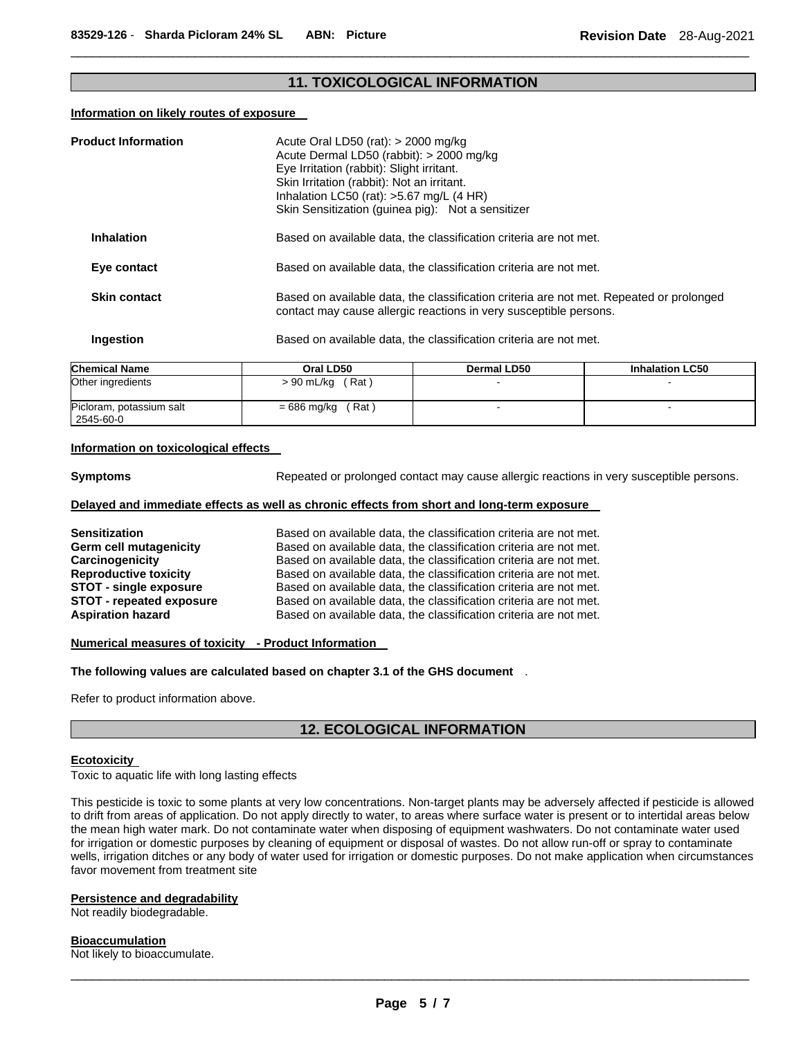# **11. TOXICOLOGICAL INFORMATION**

 $\Box$ 

#### **Information on likely routes of exposure**

| <b>Product Information</b> | Acute Oral LD50 (rat): $>$ 2000 mg/kg<br>Acute Dermal LD50 (rabbit): > 2000 mg/kg<br>Eye Irritation (rabbit): Slight irritant.<br>Skin Irritation (rabbit): Not an irritant.<br>Inhalation LC50 (rat): $>5.67$ mg/L (4 HR)<br>Skin Sensitization (guinea pig): Not a sensitizer |
|----------------------------|---------------------------------------------------------------------------------------------------------------------------------------------------------------------------------------------------------------------------------------------------------------------------------|
| <b>Inhalation</b>          | Based on available data, the classification criteria are not met.                                                                                                                                                                                                               |
| Eye contact                | Based on available data, the classification criteria are not met.                                                                                                                                                                                                               |
| <b>Skin contact</b>        | Based on available data, the classification criteria are not met. Repeated or prolonged<br>contact may cause allergic reactions in very susceptible persons.                                                                                                                    |
| Ingestion                  | Based on available data, the classification criteria are not met.                                                                                                                                                                                                               |

| <b>Chemical Name</b>                  | Oral LD50           | <b>Dermal LD50</b> | <b>Inhalation LC50</b> |
|---------------------------------------|---------------------|--------------------|------------------------|
| Other ingredients                     | $> 90$ mL/kg (Rat)  |                    |                        |
| Picloram, potassium salt<br>2545-60-0 | $= 686$ mg/kg (Rat) |                    |                        |

## **Information on toxicological effects**

**Symptoms Repeated or prolonged contact may cause allergic reactions in very susceptible persons.** 

#### **Delayed and immediate effects as well as chronic effects from short and long-term exposure**

| Sensitization                   | Based on available data, the classification criteria are not met. |
|---------------------------------|-------------------------------------------------------------------|
| Germ cell mutagenicity          | Based on available data, the classification criteria are not met. |
| Carcinogenicity                 | Based on available data, the classification criteria are not met. |
| <b>Reproductive toxicity</b>    | Based on available data, the classification criteria are not met. |
| <b>STOT - single exposure</b>   | Based on available data, the classification criteria are not met. |
| <b>STOT - repeated exposure</b> | Based on available data, the classification criteria are not met. |
| <b>Aspiration hazard</b>        | Based on available data, the classification criteria are not met. |

#### **Numerical measures of toxicity - Product Information**

**The following values are calculated based on chapter 3.1 of the GHS document** .

Refer to product information above.

# **12. ECOLOGICAL INFORMATION**

#### **Ecotoxicity**

Toxic to aquatic life with long lasting effects

This pesticide is toxic to some plants at very low concentrations. Non-target plants may be adversely affected if pesticide is allowed to drift from areas of application. Do not apply directly to water, to areas where surface water is present or to intertidal areas below the mean high water mark. Do not contaminate water when disposing of equipment washwaters. Do not contaminate water used for irrigation or domestic purposes by cleaning of equipment or disposal of wastes. Do not allow run-off or spray to contaminate wells, irrigation ditches or any body of water used for irrigation or domestic purposes. Do not make application when circumstances favor movement from treatment site

#### **Persistence and degradability**

Not readily biodegradable.

#### **Bioaccumulation**

Not likely to bioaccumulate.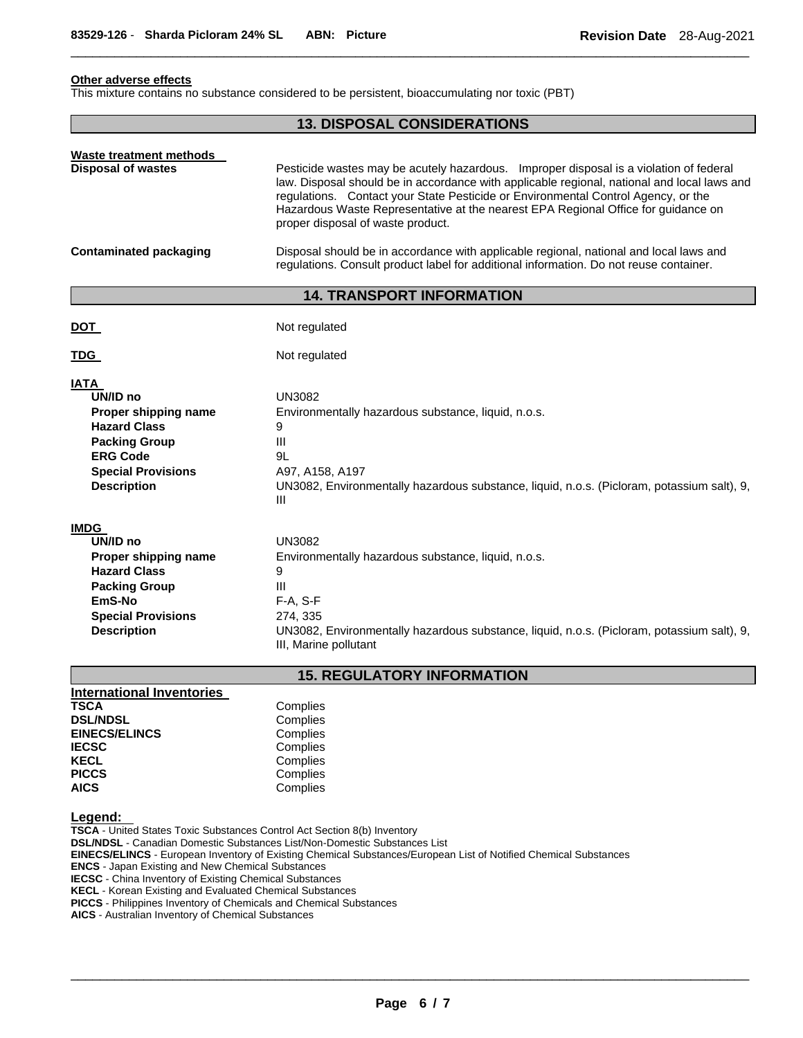# **Other adverse effects**

This mixture contains no substance considered to be persistent, bioaccumulating nor toxic (PBT)

## **13. DISPOSAL CONSIDERATIONS**

 $\Box$ 

| Waste treatment methods<br><b>Disposal of wastes</b> | Pesticide wastes may be acutely hazardous. Improper disposal is a violation of federal<br>law. Disposal should be in accordance with applicable regional, national and local laws and<br>regulations. Contact your State Pesticide or Environmental Control Agency, or the<br>Hazardous Waste Representative at the nearest EPA Regional Office for guidance on<br>proper disposal of waste product. |
|------------------------------------------------------|------------------------------------------------------------------------------------------------------------------------------------------------------------------------------------------------------------------------------------------------------------------------------------------------------------------------------------------------------------------------------------------------------|
| Contaminated packaging                               | Disposal should be in accordance with applicable regional, national and local laws and<br>regulations. Consult product label for additional information. Do not reuse container.                                                                                                                                                                                                                     |

# **14. TRANSPORT INFORMATION**

| <b>DOT</b>                                                                                                                                                           | Not regulated                                                                                                                                                                                              |
|----------------------------------------------------------------------------------------------------------------------------------------------------------------------|------------------------------------------------------------------------------------------------------------------------------------------------------------------------------------------------------------|
| <b>TDG</b>                                                                                                                                                           | Not regulated                                                                                                                                                                                              |
| <b>IATA</b><br>UN/ID no<br>Proper shipping name<br><b>Hazard Class</b><br><b>Packing Group</b><br><b>ERG Code</b><br><b>Special Provisions</b><br><b>Description</b> | <b>UN3082</b><br>Environmentally hazardous substance, liquid, n.o.s.<br>9<br>Ш<br>9L<br>A97, A158, A197<br>UN3082, Environmentally hazardous substance, liquid, n.o.s. (Picloram, potassium salt), 9,<br>Ш |
| <b>IMDG</b><br>UN/ID no<br>Proper shipping name<br><b>Hazard Class</b><br><b>Packing Group</b>                                                                       | <b>UN3082</b><br>Environmentally hazardous substance, liquid, n.o.s.<br>9<br>Ш                                                                                                                             |
| EmS-No                                                                                                                                                               | $F-A, S-F$                                                                                                                                                                                                 |

**Special Provisions** 274, 335

**Description** UN3082, Environmentally hazardous substance, liquid, n.o.s. (Picloram, potassium salt), 9, III, Marine pollutant

# **15. REGULATORY INFORMATION**

| <b>International Inventories</b> |          |
|----------------------------------|----------|
| <b>TSCA</b>                      | Complies |
| <b>DSL/NDSL</b>                  | Complies |
| <b>EINECS/ELINCS</b>             | Complies |
| <b>IECSC</b>                     | Complies |
| <b>KECL</b>                      | Complies |
| <b>PICCS</b>                     | Complies |
| <b>AICS</b>                      | Complies |

## **Legend:**

**TSCA** - United States Toxic Substances Control Act Section 8(b) Inventory **DSL/NDSL** - Canadian Domestic Substances List/Non-Domestic Substances List **EINECS/ELINCS** - European Inventory of Existing Chemical Substances/European List of Notified Chemical Substances **ENCS** - Japan Existing and New Chemical Substances **IECSC** - China Inventory of Existing Chemical Substances **KECL** - Korean Existing and Evaluated Chemical Substances **PICCS** - Philippines Inventory of Chemicals and Chemical Substances **AICS** - Australian Inventory of Chemical Substances